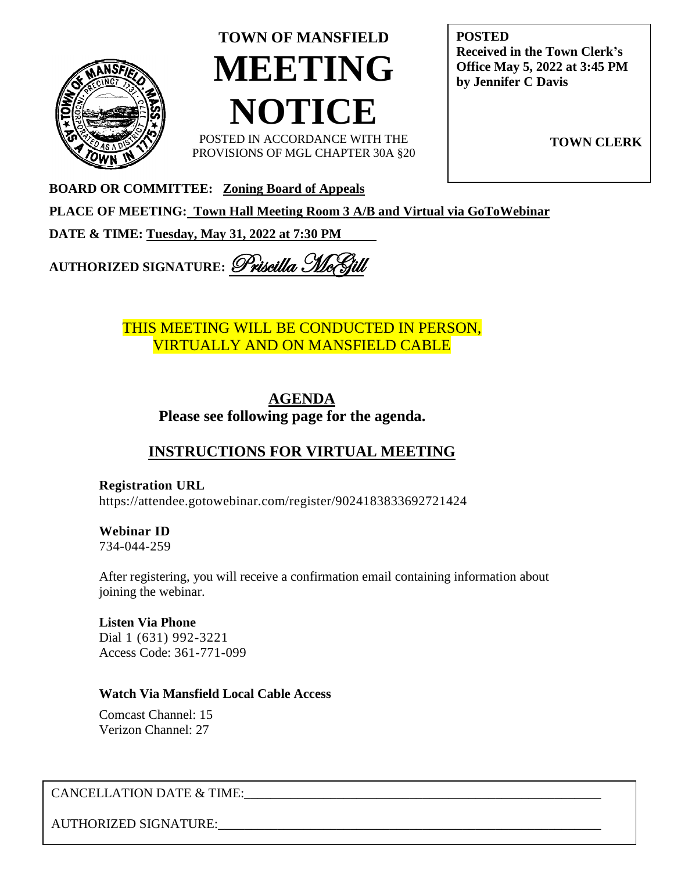

# **TOWN OF MANSFIELD MEETING NOTICE**

POSTED IN ACCORDANCE WITH THE PROVISIONS OF MGL CHAPTER 30A §20 **POSTED Received in the Town Clerk's Office May 5, 2022 at 3:45 PM by Jennifer C Davis**

**TOWN CLERK**

**BOARD OR COMMITTEE: Zoning Board of Appeals**

**PLACE OF MEETING: Town Hall Meeting Room 3 A/B and Virtual via GoToWebinar** 

**DATE & TIME: Tuesday, May 31, 2022 at 7:30 PM** 

**AUTHORIZED SIGNATURE:** Priscilla Mc

# THIS MEETING WILL BE CONDUCTED IN PERSON, VIRTUALLY AND ON MANSFIELD CABLE

# **AGENDA Please see following page for the agenda.**

# **INSTRUCTIONS FOR VIRTUAL MEETING**

**Registration URL** <https://attendee.gotowebinar.com/register/9024183833692721424>

**Webinar ID** 734-044-259

After registering, you will receive a confirmation email containing information about joining the webinar.

**Listen Via Phone**  Dial 1 (631) 992-3221 Access Code: 361-771-099

### **Watch Via Mansfield Local Cable Access**

Comcast Channel: 15 Verizon Channel: 27

# CANCELLATION DATE & TIME:

AUTHORIZED SIGNATURE: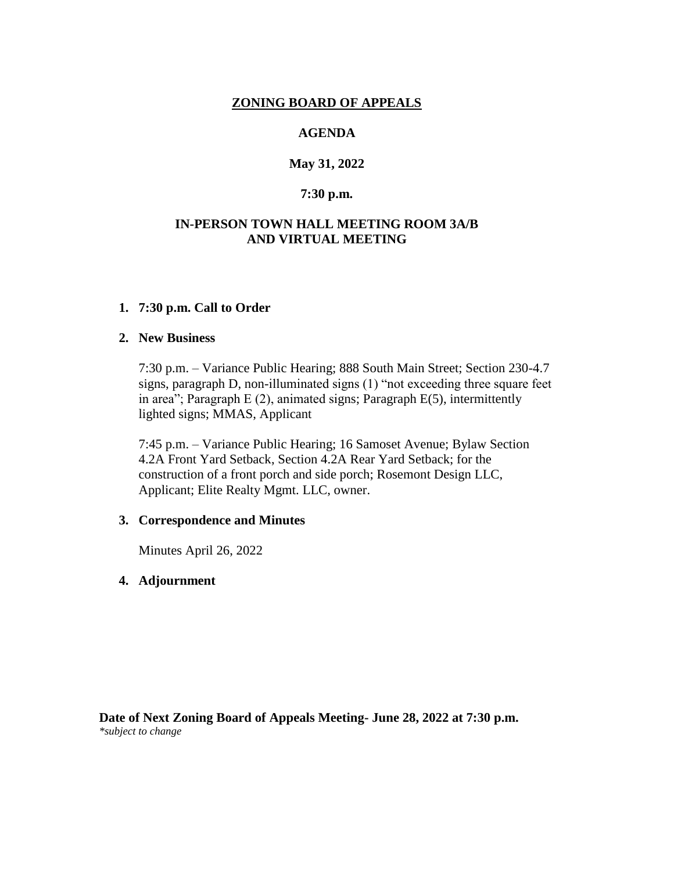#### **ZONING BOARD OF APPEALS**

#### **AGENDA**

#### **May 31, 2022**

#### **7:30 p.m.**

#### **IN-PERSON TOWN HALL MEETING ROOM 3A/B AND VIRTUAL MEETING**

#### **1. 7:30 p.m. Call to Order**

#### **2. New Business**

7:30 p.m. – Variance Public Hearing; 888 South Main Street; Section 230-4.7 signs, paragraph D, non-illuminated signs (1) "not exceeding three square feet in area"; Paragraph E (2), animated signs; Paragraph E(5), intermittently lighted signs; MMAS, Applicant

7:45 p.m. – Variance Public Hearing; 16 Samoset Avenue; Bylaw Section 4.2A Front Yard Setback, Section 4.2A Rear Yard Setback; for the construction of a front porch and side porch; Rosemont Design LLC, Applicant; Elite Realty Mgmt. LLC, owner.

#### **3. Correspondence and Minutes**

Minutes April 26, 2022

#### **4. Adjournment**

**Date of Next Zoning Board of Appeals Meeting- June 28, 2022 at 7:30 p.m.**  *\*subject to change*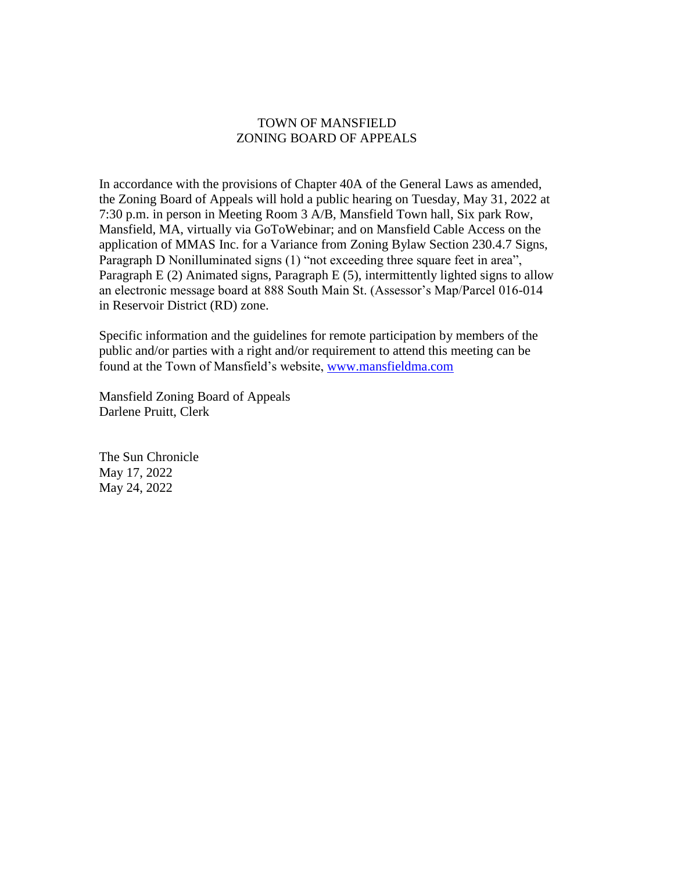#### TOWN OF MANSFIELD ZONING BOARD OF APPEALS

In accordance with the provisions of Chapter 40A of the General Laws as amended, the Zoning Board of Appeals will hold a public hearing on Tuesday, May 31, 2022 at 7:30 p.m. in person in Meeting Room 3 A/B, Mansfield Town hall, Six park Row, Mansfield, MA, virtually via GoToWebinar; and on Mansfield Cable Access on the application of MMAS Inc. for a Variance from Zoning Bylaw Section 230.4.7 Signs, Paragraph D Nonilluminated signs (1) "not exceeding three square feet in area", Paragraph E (2) Animated signs, Paragraph E (5), intermittently lighted signs to allow an electronic message board at 888 South Main St. (Assessor's Map/Parcel 016-014 in Reservoir District (RD) zone.

Specific information and the guidelines for remote participation by members of the public and/or parties with a right and/or requirement to attend this meeting can be found at the Town of Mansfield's website, [www.mansfieldma.com](file:///C:/Users/pmcgill/AppData/Local/Microsoft/Windows/INetCache/Content.Outlook/AppData/Local/Microsoft/Windows/INetCache/Content.Outlook/COCMPMUO/www.mansfieldma.com/)

Mansfield Zoning Board of Appeals Darlene Pruitt, Clerk

The Sun Chronicle May 17, 2022 May 24, 2022